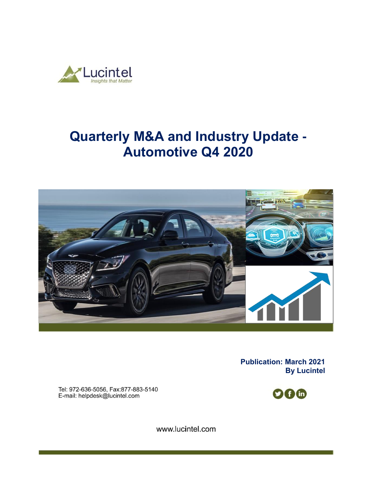

# **Quarterly M&A and Industry Update - Automotive Q4 2020**



**Publication: March 2021 By Lucintel** 

Tel: 972-636-5056, Fax:877-883-5140 E-mail: helpdesk@lucintel.com



www.lucintel.com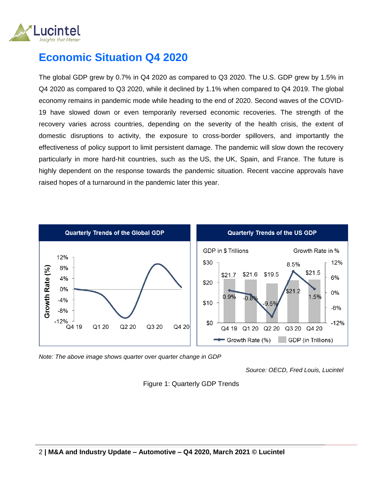

# **Economic Situation Q4 2020**

The global GDP grew by 0.7% in Q4 2020 as compared to Q3 2020. The U.S. GDP grew by 1.5% in Q4 2020 as compared to Q3 2020, while it declined by 1.1% when compared to Q4 2019. The global economy remains in pandemic mode while heading to the end of 2020. Second waves of the COVID-19 have slowed down or even temporarily reversed economic recoveries. The strength of the recovery varies across countries, depending on the severity of the health crisis, the extent of domestic disruptions to activity, the exposure to cross-border spillovers, and importantly the effectiveness of policy support to limit persistent damage. The pandemic will slow down the recovery particularly in more hard-hit countries, such as the US, the UK, Spain, and France. The future is highly dependent on the response towards the pandemic situation. Recent vaccine approvals have raised hopes of a turnaround in the pandemic later this year.



*Note: The above image shows quarter over quarter change in GDP* 

*Source: OECD, Fred Louis, Lucintel*

Figure 1: Quarterly GDP Trends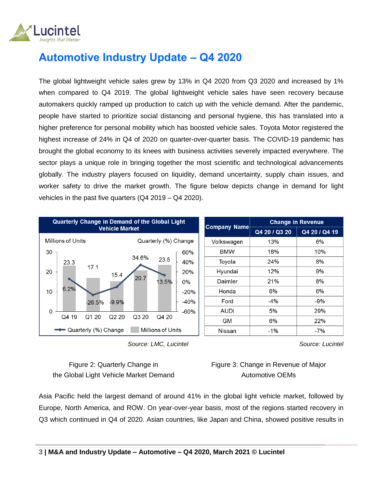

# **Automotive Industry Update – Q4 2020**

The global lightweight vehicle sales grew by 13% in Q4 2020 from Q3 2020 and increased by 1% when compared to Q4 2019. The global lightweight vehicle sales have seen recovery because automakers quickly ramped up production to catch up with the vehicle demand. After the pandemic, people have started to prioritize social distancing and personal hygiene, this has translated into a higher preference for personal mobility which has boosted vehicle sales. Toyota Motor registered the highest increase of 24% in Q4 of 2020 on quarter-over-quarter basis. The COVID-19 pandemic has brought the global economy to its knees with business activities severely impacted everywhere. The sector plays a unique role in bringing together the most scientific and technological advancements globally. The industry players focused on liquidity, demand uncertainty, supply chain issues, and worker safety to drive the market growth. The figure below depicts change in demand for light vehicles in the past five quarters (Q4 2019 – Q4 2020).





Figure 2: Quarterly Change in the Global Light Vehicle Market Demand Figure 3: Change in Revenue of Major Automotive OEMs

Asia Pacific held the largest demand of around 41% in the global light vehicle market, followed by Europe, North America, and ROW. On year-over-year basis, most of the regions started recovery in Q3 which continued in Q4 of 2020. Asian countries, like Japan and China, showed positive results in

*Source: Lucintel*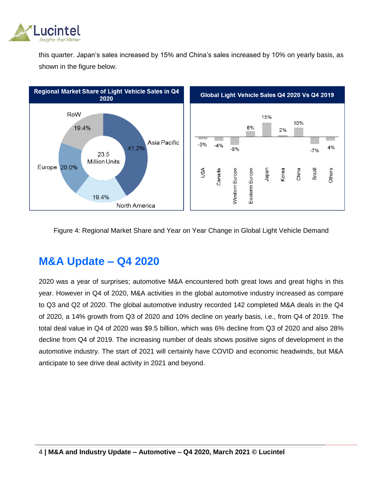

this quarter. Japan's sales increased by 15% and China's sales increased by 10% on yearly basis, as shown in the figure below.



#### Figure 4: Regional Market Share and Year on Year Change in Global Light Vehicle Demand

## **M&A Update – Q4 2020**

2020 was a year of surprises; automotive M&A encountered both great lows and great highs in this year. However in Q4 of 2020, M&A activities in the global automotive industry increased as compare to Q3 and Q2 of 2020. The global automotive industry recorded 142 completed M&A deals in the Q4 of 2020, a 14% growth from Q3 of 2020 and 10% decline on yearly basis, i.e., from Q4 of 2019. The total deal value in Q4 of 2020 was \$9.5 billion, which was 6% decline from Q3 of 2020 and also 28% decline from Q4 of 2019. The increasing number of deals shows positive signs of development in the automotive industry. The start of 2021 will certainly have COVID and economic headwinds, but M&A anticipate to see drive deal activity in 2021 and beyond.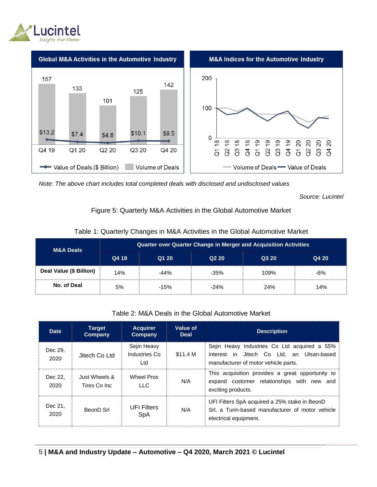



*Note: The above chart includes total completed deals with disclosed and undisclosed values*

*Source: Lucintel*

#### Figure 5: Quarterly M&A Activities in the Global Automotive Market

| <b>M&amp;A Deals</b>    | <b>Quarter over Quarter Change in Merger and Acquisition Activities</b> |        |        |       |       |  |  |  |
|-------------------------|-------------------------------------------------------------------------|--------|--------|-------|-------|--|--|--|
|                         | Q4 19                                                                   | Q1 20  | Q220   | Q3 20 | Q4 20 |  |  |  |
| Deal Value (\$ Billion) | 14%                                                                     | $-44%$ | $-35%$ | 109%  | $-6%$ |  |  |  |
| No. of Deal             | 5%                                                                      | $-15%$ | $-24%$ | 24%   | 14%   |  |  |  |

#### Table 1: Quarterly Changes in M&A Activities in the Global Automotive Market

Table 2: M&A Deals in the Global Automotive Market

| <b>Date</b>     | <b>Target</b><br>Company      | <b>Acquirer</b><br>Company          | Value of<br><b>Deal</b> | <b>Description</b>                                                                                                                   |
|-----------------|-------------------------------|-------------------------------------|-------------------------|--------------------------------------------------------------------------------------------------------------------------------------|
| Dec 29,<br>2020 | Jitech Co Ltd                 | Sejin Heavy<br>Industries Co<br>Ltd | \$11.4 M                | Sejin Heavy Industries Co Ltd acquired a 55%<br>Jitech Co Ltd. an Ulsan-based<br>interest in<br>manufacturer of motor vehicle parts. |
| Dec 22.<br>2020 | Just Wheels &<br>Tires Co Inc | Wheel Pros<br>LLC.                  | N/A                     | This acquisition provides a great opportunity to<br>expand customer relationships with new and<br>exciting products.                 |
| Dec 21.<br>2020 | BeonD Srl                     | <b>UFI Filters</b><br>SpA           | N/A                     | UFI Filters SpA acquired a 25% stake in BeonD<br>Srl. a Turin-based manufacturer of motor vehicle<br>electrical equipment.           |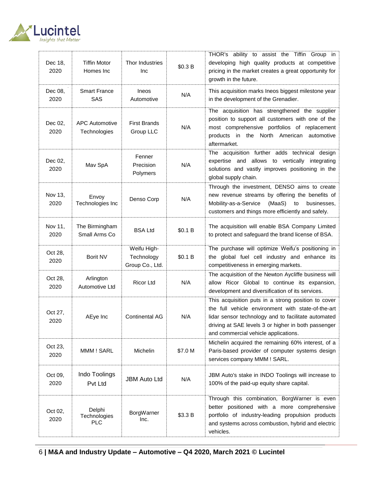

| Dec 18,<br>2020 | <b>Tiffin Motor</b><br>Homes Inc      | Thor Industries<br>Inc                       | \$0.3 B | THOR's ability to assist the Tiffin Group in<br>developing high quality products at competitive<br>pricing in the market creates a great opportunity for<br>growth in the future.                                                                               |
|-----------------|---------------------------------------|----------------------------------------------|---------|-----------------------------------------------------------------------------------------------------------------------------------------------------------------------------------------------------------------------------------------------------------------|
| Dec 08,<br>2020 | <b>Smart France</b><br><b>SAS</b>     | Ineos<br>Automotive                          | N/A     | This acquisition marks Ineos biggest milestone year<br>in the development of the Grenadier.                                                                                                                                                                     |
| Dec 02,<br>2020 | <b>APC Automotive</b><br>Technologies | <b>First Brands</b><br>Group LLC             | N/A     | The acquisition has strengthened the supplier<br>position to support all customers with one of the<br>most comprehensive portfolios of replacement<br>products in the North American<br>automotive<br>aftermarket.                                              |
| Dec 02,<br>2020 | Mav SpA                               | Fenner<br>Precision<br>Polymers              | N/A     | The acquisition further adds technical design<br>expertise and allows to vertically integrating<br>solutions and vastly improves positioning in the<br>global supply chain.                                                                                     |
| Nov 13,<br>2020 | Envoy<br>Technologies Inc             | Denso Corp                                   | N/A     | Through the investment, DENSO aims to create<br>new revenue streams by offering the benefits of<br>(MaaS)<br>Mobility-as-a-Service<br>businesses,<br>to<br>customers and things more efficiently and safely.                                                    |
| Nov 11,<br>2020 | The Birmingham<br>Small Arms Co       | <b>BSA Ltd</b>                               | \$0.1 B | The acquisition will enable BSA Company Limited<br>to protect and safeguard the brand license of BSA.                                                                                                                                                           |
| Oct 28,<br>2020 | Borit NV                              | Weifu High-<br>Technology<br>Group Co., Ltd. | \$0.1 B | The purchase will optimize Weifu's positioning in<br>the global fuel cell industry and enhance its<br>competitiveness in emerging markets.                                                                                                                      |
| Oct 28,<br>2020 | Arlington<br>Automotive Ltd           | <b>Ricor Ltd</b>                             | N/A     | The acquisition of the Newton Aycliffe business will<br>allow Ricor Global to continue its expansion,<br>development and diversification of its services.                                                                                                       |
| Oct 27,<br>2020 | AEye Inc                              | <b>Continental AG</b>                        | N/A     | This acquisition puts in a strong position to cover<br>the full vehicle environment with state-of-the-art<br>lidar sensor technology and to facilitate automated<br>driving at SAE levels 3 or higher in both passenger<br>and commercial vehicle applications. |
| Oct 23,<br>2020 | MMM ! SARL                            | Michelin                                     | \$7.0 M | Michelin acquired the remaining 60% interest, of a<br>Paris-based provider of computer systems design<br>services company MMM ! SARL.                                                                                                                           |
| Oct 09,<br>2020 | Indo Toolings<br>Pvt Ltd              | <b>JBM Auto Ltd</b>                          | N/A     | JBM Auto's stake in INDO Toolings will increase to<br>100% of the paid-up equity share capital.                                                                                                                                                                 |
| Oct 02,<br>2020 | Delphi<br>Technologies<br><b>PLC</b>  | BorgWarner<br>Inc.                           | \$3.3 B | Through this combination, BorgWarner is even<br>better positioned with a more comprehensive<br>portfolio of industry-leading propulsion products<br>and systems across combustion, hybrid and electric<br>vehicles.                                             |